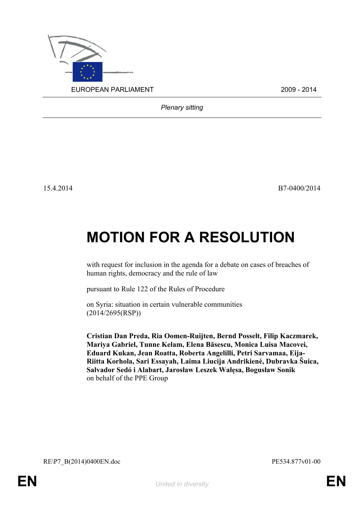

*Plenary sitting*

15.4.2014 B7-0400/2014

## **MOTION FOR A RESOLUTION**

with request for inclusion in the agenda for a debate on cases of breaches of human rights, democracy and the rule of law

pursuant to Rule 122 of the Rules of Procedure

on Syria: situation in certain vulnerable communities (2014/2695(RSP))

<span id="page-0-0"></span>**Cristian Dan Preda, Ria Oomen-Ruijten, Bernd Posselt, Filip Kaczmarek, Mariya Gabriel, Tunne Kelam, Elena Băsescu, Monica Luisa Macovei, Eduard Kukan, Jean Roatta, Roberta Angelilli, Petri Sarvamaa, Eija-Riitta Korhola, Sari Essayah, Laima Liucija Andrikienė, Dubravka Šuica, Salvador Sedó i Alabart, Jarosław Leszek Wałęsa, Bogusław Sonik** on behalf of the PPE Group

<span id="page-0-1"></span>RE\P7\_B(2014)0400EN.doc PE534.877v01-00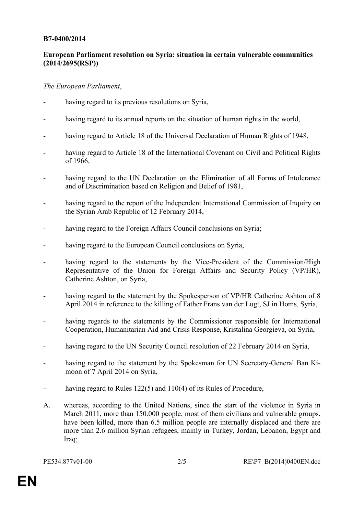## **B7-0400/2014**

## **European Parliament resolution on Syria: situation in certain vulnerable communities (2014/2695(RSP))**

## *The European Parliament*,

- having regard to its previous resolutions on Syria,
- having regard to its annual reports on the situation of human rights in the world,
- having regard to Article 18 of the Universal Declaration of Human Rights of 1948,
- having regard to Article 18 of the International Covenant on Civil and Political Rights of 1966,
- having regard to the UN Declaration on the Elimination of all Forms of Intolerance and of Discrimination based on Religion and Belief of 1981,
- having regard to the report of the Independent International Commission of Inquiry on the Syrian Arab Republic of 12 February 2014,
- having regard to the Foreign Affairs Council conclusions on Syria;
- having regard to the European Council conclusions on Syria,
- having regard to the statements by the Vice-President of the Commission/High Representative of the Union for Foreign Affairs and Security Policy (VP/HR), Catherine Ashton, on Syria,
- having regard to the statement by the Spokesperson of VP/HR Catherine Ashton of 8 April 2014 in reference to the killing of Father Frans van der Lugt, SJ in Homs, Syria,
- having regards to the statements by the Commissioner responsible for International Cooperation, Humanitarian Aid and Crisis Response, Kristalina Georgieva, on Syria,
- having regard to the UN Security Council resolution of 22 February 2014 on Syria,
- having regard to the statement by the Spokesman for UN Secretary-General Ban Kimoon of 7 April 2014 on Syria,
- having regard to Rules 122(5) and 110(4) of its Rules of Procedure,
- A. whereas, according to the United Nations, since the start of the violence in Syria in March 2011, more than 150.000 people, most of them civilians and vulnerable groups, have been killed, more than 6.5 million people are internally displaced and there are more than 2.6 million Syrian refugees, mainly in Turkey, Jordan, Lebanon, Egypt and Iraq;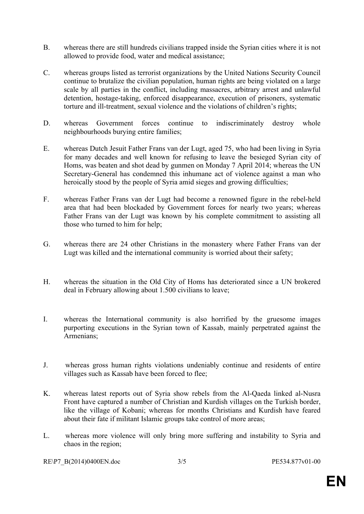- B. whereas there are still hundreds civilians trapped inside the Syrian cities where it is not allowed to provide food, water and medical assistance;
- C. whereas groups listed as terrorist organizations by the United Nations Security Council continue to brutalize the civilian population, human rights are being violated on a large scale by all parties in the conflict, including massacres, arbitrary arrest and unlawful detention, hostage-taking, enforced disappearance, execution of prisoners, systematic torture and ill-treatment, sexual violence and the violations of children's rights;
- D. whereas Government forces continue to indiscriminately destroy whole neighbourhoods burying entire families;
- E. whereas Dutch Jesuit Father Frans van der Lugt, aged 75, who had been living in Syria for many decades and well known for refusing to leave the besieged Syrian city of Homs, was beaten and shot dead by gunmen on Monday 7 April 2014; whereas the UN Secretary-General has condemned this inhumane act of violence against a man who heroically stood by the people of Syria amid sieges and growing difficulties;
- F. whereas Father Frans van der Lugt had become a renowned figure in the rebel-held area that had been blockaded by Government forces for nearly two years; whereas Father Frans van der Lugt was known by his complete commitment to assisting all those who turned to him for help;
- G. whereas there are 24 other Christians in the monastery where Father Frans van der Lugt was killed and the international community is worried about their safety;
- H. whereas the situation in the Old City of Homs has deteriorated since a UN brokered deal in February allowing about 1.500 civilians to leave;
- I. whereas the International community is also horrified by the gruesome images purporting executions in the Syrian town of Kassab, mainly perpetrated against the Armenians;
- J. whereas gross human rights violations undeniably continue and residents of entire villages such as Kassab have been forced to flee;
- K. whereas latest reports out of Syria show rebels from the Al-Qaeda linked al-Nusra Front have captured a number of Christian and Kurdish villages on the Turkish border, like the village of Kobani; whereas for months Christians and Kurdish have feared about their fate if militant Islamic groups take control of more areas;
- L. whereas more violence will only bring more suffering and instability to Syria and chaos in the region;

[RE\P7\\_B\(2014\)0400EN.doc](#page-0-1) 3/5 [PE534.877v01-00](#page-0-0)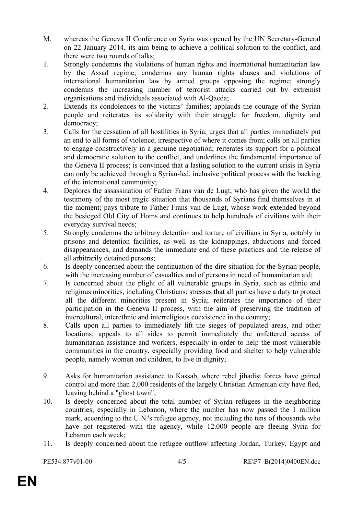- M. whereas the Geneva II Conference on Syria was opened by the UN Secretary-General on 22 January 2014, its aim being to achieve a political solution to the conflict, and there were two rounds of talks;
- 1. Strongly condemns the violations of human rights and international humanitarian law by the Assad regime; condemns any human rights abuses and violations of international humanitarian law by armed groups opposing the regime; strongly condemns the increasing number of terrorist attacks carried out by extremist organisations and individuals associated with Al-Qaeda;
- 2. Extends its condolences to the victims' families; applauds the courage of the Syrian people and reiterates its solidarity with their struggle for freedom, dignity and democracy;
- 3. Calls for the cessation of all hostilities in Syria; urges that all parties immediately put an end to all forms of violence, irrespective of where it comes from; calls on all parties to engage constructively in a genuine negotiation; reiterates its support for a political and democratic solution to the conflict, and underlines the fundamental importance of the Geneva II process; is convinced that a lasting solution to the current crisis in Syria can only be achieved through a Syrian-led, inclusive political process with the backing of the international community;
- 4. Deplores the assassination of Father Frans van de Lugt, who has given the world the testimony of the most tragic situation that thousands of Syrians find themselves in at the moment; pays tribute to Father Frans van de Lugt, whose work extended beyond the besieged Old City of Homs and continues to help hundreds of civilians with their everyday survival needs;
- 5. Strongly condemns the arbitrary detention and torture of civilians in Syria, notably in prisons and detention facilities, as well as the kidnappings, abductions and forced disappearances, and demands the immediate end of these practices and the release of all arbitrarily detained persons;
- 6. Is deeply concerned about the continuation of the dire situation for the Syrian people, with the increasing number of casualties and of persons in need of humanitarian aid;
- 7. Is concerned about the plight of all vulnerable groups in Syria, such as ethnic and religious minorities, including Christians; stresses that all parties have a duty to protect all the different minorities present in Syria; reiterates the importance of their participation in the Geneva II process, with the aim of preserving the tradition of intercultural, interethnic and interreligious coexistence in the country;
- 8. Calls upon all parties to immediately lift the sieges of populated areas, and other locations; appeals to all sides to permit immediately the unfettered access of humanitarian assistance and workers, especially in order to help the most vulnerable communities in the country, especially providing food and shelter to help vulnerable people, namely women and children, to live in dignity;
- 9. Asks for humanitarian assistance to Kassab, where rebel jihadist forces have gained control and more than 2,000 residents of the largely Christian Armenian city have fled, leaving behind a "ghost town";
- 10. Is deeply concerned about the total number of Syrian refugees in the neighboring countries, especially in Lebanon, where the number [has now passed the 1 million](http://edition.cnn.com/2014/04/03/world/meast/lebanon-syrian-refugees/index.html)  [mark,](http://edition.cnn.com/2014/04/03/world/meast/lebanon-syrian-refugees/index.html) according to the U.N.'s refugee agency, not including the tens of thousands who have not registered with the agency, while 12,000 people are fleeing Syria for Lebanon each week;
- 11. Is deeply concerned about the refugee outflow affecting Jordan, Turkey, Egypt and